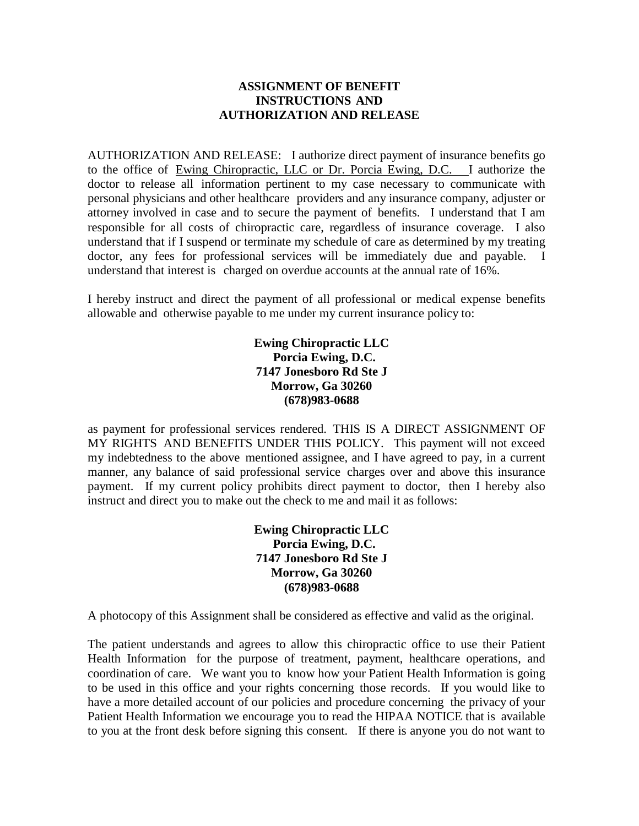## **ASSIGNMENT OF BENEFIT INSTRUCTIONS AND AUTHORIZATION AND RELEASE**

AUTHORIZATION AND RELEASE: I authorize direct payment of insurance benefits go to the office of Ewing Chiropractic, LLC or Dr. Porcia Ewing, D.C. I authorize the doctor to release all information pertinent to my case necessary to communicate with personal physicians and other healthcare providers and any insurance company, adjuster or attorney involved in case and to secure the payment of benefits. I understand that I am responsible for all costs of chiropractic care, regardless of insurance coverage. I also understand that if I suspend or terminate my schedule of care as determined by my treating doctor, any fees for professional services will be immediately due and payable. understand that interest is charged on overdue accounts at the annual rate of 16%.

I hereby instruct and direct the payment of all professional or medical expense benefits allowable and otherwise payable to me under my current insurance policy to:

> **Ewing Chiropractic LLC Porcia Ewing, D.C. 7147 Jonesboro Rd Ste J Morrow, Ga 30260 (678)983-0688**

as payment for professional services rendered. THIS IS A DIRECT ASSIGNMENT OF MY RIGHTS AND BENEFITS UNDER THIS POLICY. This payment will not exceed my indebtedness to the above mentioned assignee, and I have agreed to pay, in a current manner, any balance of said professional service charges over and above this insurance payment. If my current policy prohibits direct payment to doctor, then I hereby also instruct and direct you to make out the check to me and mail it as follows:

> **Ewing Chiropractic LLC Porcia Ewing, D.C. 7147 Jonesboro Rd Ste J Morrow, Ga 30260 (678)983-0688**

A photocopy of this Assignment shall be considered as effective and valid as the original.

The patient understands and agrees to allow this chiropractic office to use their Patient Health Information for the purpose of treatment, payment, healthcare operations, and coordination of care. We want you to know how your Patient Health Information is going to be used in this office and your rights concerning those records. If you would like to have a more detailed account of our policies and procedure concerning the privacy of your Patient Health Information we encourage you to read the HIPAA NOTICE that is available to you at the front desk before signing this consent. If there is anyone you do not want to